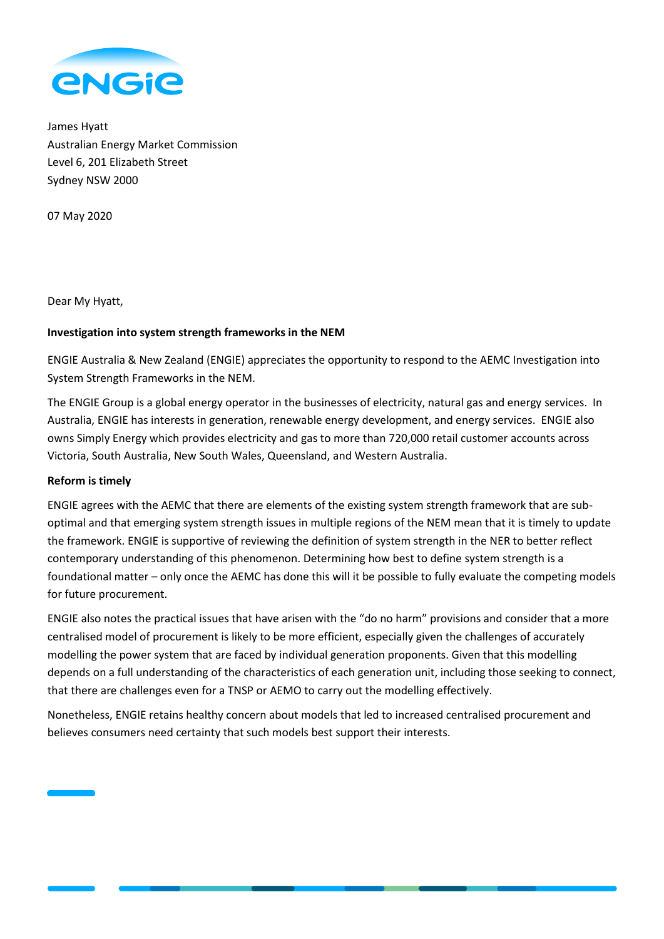

James Hyatt Australian Energy Market Commission Level 6, 201 Elizabeth Street Sydney NSW 2000

07 May 2020

Dear My Hyatt,

# **Investigation into system strength frameworks in the NEM**

ENGIE Australia & New Zealand (ENGIE) appreciates the opportunity to respond to the AEMC Investigation into System Strength Frameworks in the NEM.

The ENGIE Group is a global energy operator in the businesses of electricity, natural gas and energy services. In Australia, ENGIE has interests in generation, renewable energy development, and energy services. ENGIE also owns Simply Energy which provides electricity and gas to more than 720,000 retail customer accounts across Victoria, South Australia, New South Wales, Queensland, and Western Australia.

### **Reform is timely**

ENGIE agrees with the AEMC that there are elements of the existing system strength framework that are suboptimal and that emerging system strength issues in multiple regions of the NEM mean that it is timely to update the framework. ENGIE is supportive of reviewing the definition of system strength in the NER to better reflect contemporary understanding of this phenomenon. Determining how best to define system strength is a foundational matter – only once the AEMC has done this will it be possible to fully evaluate the competing models for future procurement.

ENGIE also notes the practical issues that have arisen with the "do no harm" provisions and consider that a more centralised model of procurement is likely to be more efficient, especially given the challenges of accurately modelling the power system that are faced by individual generation proponents. Given that this modelling depends on a full understanding of the characteristics of each generation unit, including those seeking to connect, that there are challenges even for a TNSP or AEMO to carry out the modelling effectively.

Nonetheless, ENGIE retains healthy concern about models that led to increased centralised procurement and believes consumers need certainty that such models best support their interests.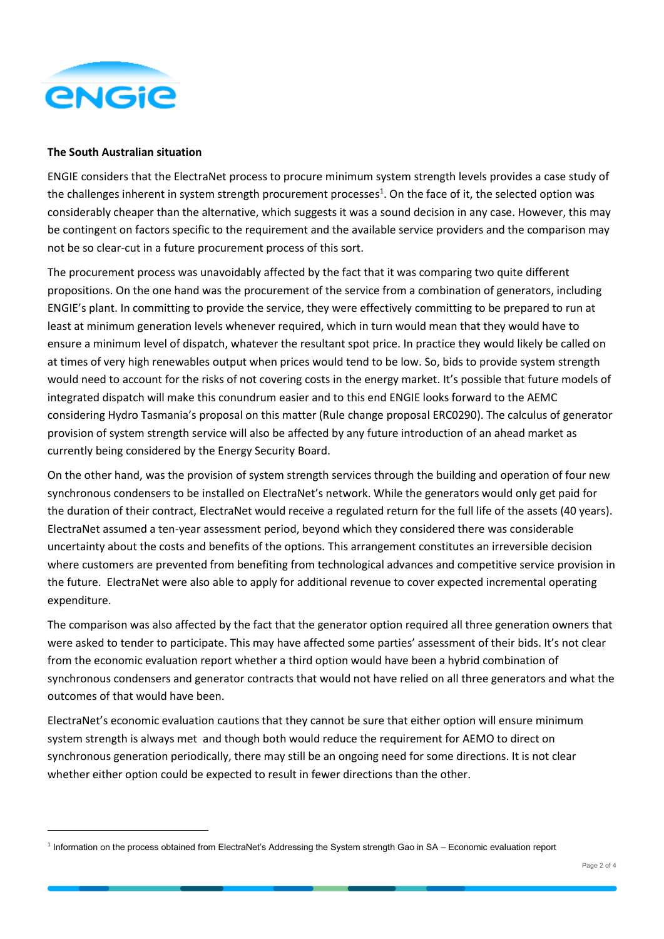

#### **The South Australian situation**

ENGIE considers that the ElectraNet process to procure minimum system strength levels provides a case study of the challenges inherent in system strength procurement processes<sup>1</sup>. On the face of it, the selected option was considerably cheaper than the alternative, which suggests it was a sound decision in any case. However, this may be contingent on factors specific to the requirement and the available service providers and the comparison may not be so clear-cut in a future procurement process of this sort.

The procurement process was unavoidably affected by the fact that it was comparing two quite different propositions. On the one hand was the procurement of the service from a combination of generators, including ENGIE's plant. In committing to provide the service, they were effectively committing to be prepared to run at least at minimum generation levels whenever required, which in turn would mean that they would have to ensure a minimum level of dispatch, whatever the resultant spot price. In practice they would likely be called on at times of very high renewables output when prices would tend to be low. So, bids to provide system strength would need to account for the risks of not covering costs in the energy market. It's possible that future models of integrated dispatch will make this conundrum easier and to this end ENGIE looks forward to the AEMC considering Hydro Tasmania's proposal on this matter (Rule change proposal ERC0290). The calculus of generator provision of system strength service will also be affected by any future introduction of an ahead market as currently being considered by the Energy Security Board.

On the other hand, was the provision of system strength services through the building and operation of four new synchronous condensers to be installed on ElectraNet's network. While the generators would only get paid for the duration of their contract, ElectraNet would receive a regulated return for the full life of the assets (40 years). ElectraNet assumed a ten-year assessment period, beyond which they considered there was considerable uncertainty about the costs and benefits of the options. This arrangement constitutes an irreversible decision where customers are prevented from benefiting from technological advances and competitive service provision in the future. ElectraNet were also able to apply for additional revenue to cover expected incremental operating expenditure.

The comparison was also affected by the fact that the generator option required all three generation owners that were asked to tender to participate. This may have affected some parties' assessment of their bids. It's not clear from the economic evaluation report whether a third option would have been a hybrid combination of synchronous condensers and generator contracts that would not have relied on all three generators and what the outcomes of that would have been.

ElectraNet's economic evaluation cautions that they cannot be sure that either option will ensure minimum system strength is always met and though both would reduce the requirement for AEMO to direct on synchronous generation periodically, there may still be an ongoing need for some directions. It is not clear whether either option could be expected to result in fewer directions than the other.

<sup>&</sup>lt;sup>1</sup> Information on the process obtained from ElectraNet's Addressing the System strength Gao in SA – Economic evaluation report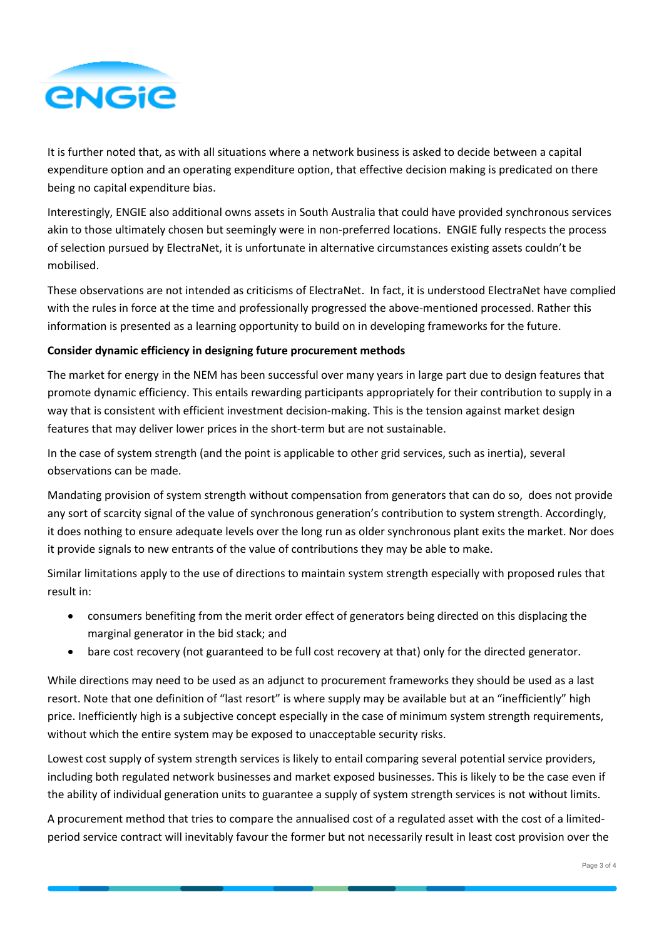

It is further noted that, as with all situations where a network business is asked to decide between a capital expenditure option and an operating expenditure option, that effective decision making is predicated on there being no capital expenditure bias.

Interestingly, ENGIE also additional owns assets in South Australia that could have provided synchronous services akin to those ultimately chosen but seemingly were in non-preferred locations. ENGIE fully respects the process of selection pursued by ElectraNet, it is unfortunate in alternative circumstances existing assets couldn't be mobilised.

These observations are not intended as criticisms of ElectraNet. In fact, it is understood ElectraNet have complied with the rules in force at the time and professionally progressed the above-mentioned processed. Rather this information is presented as a learning opportunity to build on in developing frameworks for the future.

## **Consider dynamic efficiency in designing future procurement methods**

The market for energy in the NEM has been successful over many years in large part due to design features that promote dynamic efficiency. This entails rewarding participants appropriately for their contribution to supply in a way that is consistent with efficient investment decision-making. This is the tension against market design features that may deliver lower prices in the short-term but are not sustainable.

In the case of system strength (and the point is applicable to other grid services, such as inertia), several observations can be made.

Mandating provision of system strength without compensation from generators that can do so, does not provide any sort of scarcity signal of the value of synchronous generation's contribution to system strength. Accordingly, it does nothing to ensure adequate levels over the long run as older synchronous plant exits the market. Nor does it provide signals to new entrants of the value of contributions they may be able to make.

Similar limitations apply to the use of directions to maintain system strength especially with proposed rules that result in:

- consumers benefiting from the merit order effect of generators being directed on this displacing the marginal generator in the bid stack; and
- bare cost recovery (not guaranteed to be full cost recovery at that) only for the directed generator.

While directions may need to be used as an adjunct to procurement frameworks they should be used as a last resort. Note that one definition of "last resort" is where supply may be available but at an "inefficiently" high price. Inefficiently high is a subjective concept especially in the case of minimum system strength requirements, without which the entire system may be exposed to unacceptable security risks.

Lowest cost supply of system strength services is likely to entail comparing several potential service providers, including both regulated network businesses and market exposed businesses. This is likely to be the case even if the ability of individual generation units to guarantee a supply of system strength services is not without limits.

A procurement method that tries to compare the annualised cost of a regulated asset with the cost of a limitedperiod service contract will inevitably favour the former but not necessarily result in least cost provision over the